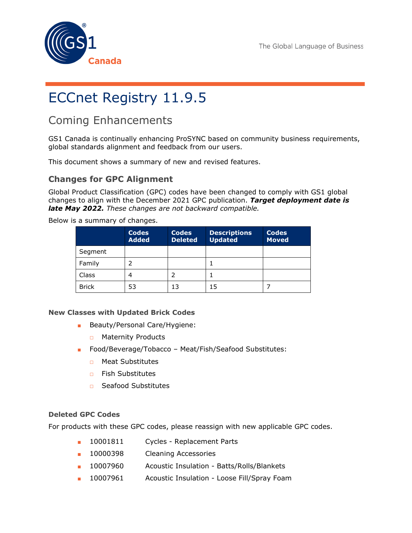



# ECCnet Registry 11.9.5

# Coming Enhancements

GS1 Canada is continually enhancing ProSYNC based on community business requirements, global standards alignment and feedback from our users.

This document shows a summary of new and revised features.

# **Changes for GPC Alignment**

Global Product Classification (GPC) codes have been changed to comply with GS1 global changes to align with the December 2021 GPC publication. *Target deployment date is late May 2022. These changes are not backward compatible.*

Below is a summary of changes.

|              | <b>Codes</b><br><b>Added</b> | <b>Codes</b><br><b>Deleted</b> | <b>Descriptions</b><br><b>Updated</b> | <b>Codes</b><br><b>Moved</b> |
|--------------|------------------------------|--------------------------------|---------------------------------------|------------------------------|
| Segment      |                              |                                |                                       |                              |
| Family       |                              |                                |                                       |                              |
| Class        |                              |                                |                                       |                              |
| <b>Brick</b> | 53                           | 13                             | 15                                    |                              |

## **New Classes with Updated Brick Codes**

- Beauty/Personal Care/Hygiene:
	- □ Maternity Products
- Food/Beverage/Tobacco Meat/Fish/Seafood Substitutes:
	- □ Meat Substitutes
	- □ Fish Substitutes
	- □ Seafood Substitutes

## **Deleted GPC Codes**

For products with these GPC codes, please reassign with new applicable GPC codes.

- 10001811 Cycles Replacement Parts
- 10000398 Cleaning Accessories
- 10007960 Acoustic Insulation Batts/Rolls/Blankets
- 10007961 Acoustic Insulation Loose Fill/Spray Foam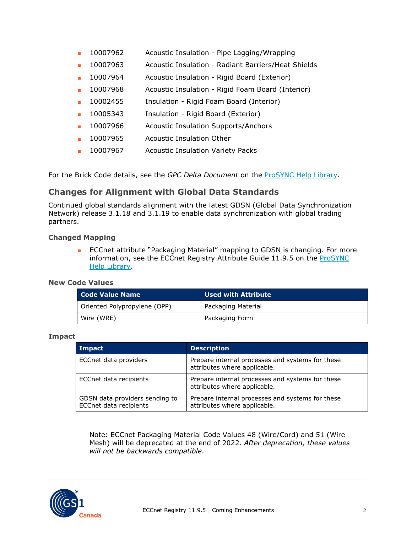- 10007962 Acoustic Insulation Pipe Lagging/Wrapping
- 10007963 Acoustic Insulation Radiant Barriers/Heat Shields
- 10007964 Acoustic Insulation Rigid Board (Exterior)
- 10007968 Acoustic Insulation Rigid Foam Board (Interior)
- 10002455 Insulation Rigid Foam Board (Interior)
- 10005343 Insulation Rigid Board (Exterior)
- 10007966 Acoustic Insulation Supports/Anchors
- 10007965 Acoustic Insulation Other
- 10007967 Acoustic Insulation Variety Packs

For the Brick Code details, see the *GPC Delta Document* on the [ProSYNC](https://gs1ca.org/help-library/prosync/) Help Library.

# **Changes for Alignment with Global Data Standards**

Continued global standards alignment with the latest GDSN (Global Data Synchronization Network) release 3.1.18 and 3.1.19 to enable data synchronization with global trading partners.

### **Changed Mapping**

■ ECCnet attribute "Packaging Material" mapping to GDSN is changing. For more information, see the ECCnet Registry Attribute Guide 11.9.5 on the [ProSYNC](https://gs1ca.org/help-library/prosync/) Help [Library.](https://gs1ca.org/help-library/prosync/)

### **New Code Values**

| Code Value Name              | <b>Used with Attribute</b> |
|------------------------------|----------------------------|
| Oriented Polypropylene (OPP) | Packaging Material         |
| Wire (WRE)                   | Packaging Form             |

#### **Impact**

| Impact                                                          | <b>Description</b>                                                               |
|-----------------------------------------------------------------|----------------------------------------------------------------------------------|
| ECCnet data providers                                           | Prepare internal processes and systems for these<br>attributes where applicable. |
| ECCnet data recipients                                          | Prepare internal processes and systems for these<br>attributes where applicable. |
| GDSN data providers sending to<br><b>ECCnet data recipients</b> | Prepare internal processes and systems for these<br>attributes where applicable. |

Note: ECCnet Packaging Material Code Values 48 (Wire/Cord) and 51 (Wire Mesh) will be deprecated at the end of 2022. *After deprecation, these values will not be backwards compatible*.